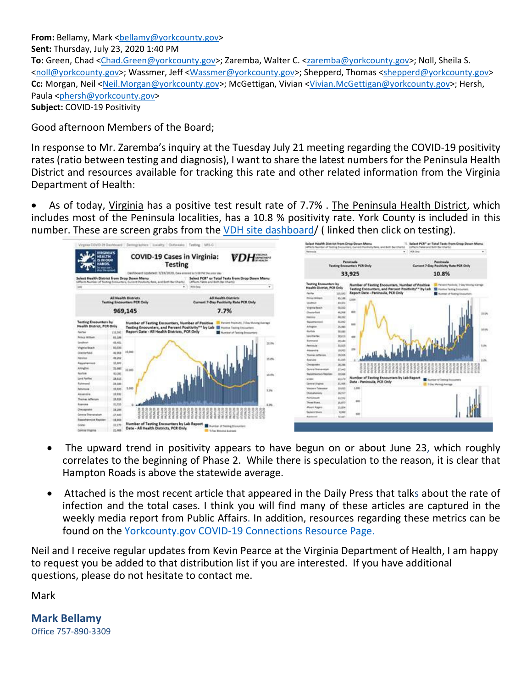From: Bellamy, Mark <br /> **From: Bellamy, Mark <br />
<u>Kellamy@yorkcounty.gov</u>> Sent:** Thursday, July 23, 2020 1:40 PM To: Green, Chad <Chad.Green@yorkcounty.gov>; Zaremba, Walter C. <zaremba@yorkcounty.gov>; Noll, Sheila S. <noll@yorkcounty.gov>; Wassmer, Jeff <Wassmer@yorkcounty.gov>; Shepperd, Thomas <shepperd@yorkcounty.gov> **Cc:** Morgan, Neil <Neil.Morgan@yorkcounty.gov>; McGettigan, Vivian <Vivian.McGettigan@yorkcounty.gov>; Hersh, Paula <phersh@yorkcounty.gov> **Subject:** COVID‐19 Positivity

Good afternoon Members of the Board;

In response to Mr. Zaremba's inquiry at the Tuesday July 21 meeting regarding the COVID‐19 positivity rates (ratio between testing and diagnosis), I want to share the latest numbers for the Peninsula Health District and resources available for tracking this rate and other related information from the Virginia Department of Health:

 As of today, Virginia has a positive test result rate of 7.7% . The Peninsula Health District, which includes most of the Peninsula localities, has a 10.8 % positivity rate. York County is included in this number. These are screen grabs from the VDH site [dashboard/](https://www.vdh.virginia.gov/coronavirus/covid-19-daily-dashboard/) (linked then click on testing).



- The upward trend in positivity appears to have begun on or about June 23, which roughly correlates to the beginning of Phase 2. While there is speculation to the reason, it is clear that Hampton Roads is above the statewide average.
- Attached is the most recent article that appeared in the Daily Press that talks about the rate of infection and the total cases. I think you will find many of these articles are captured in the weekly media report from Public Affairs. In addition, resources regarding these metrics can be found on the [Yorkcounty.gov](https://www.yorkcounty.gov/2371/COVID-19-Connection) COVID‐19 Connections Resource Page.

Neil and I receive regular updates from Kevin Pearce at the Virginia Department of Health, I am happy to request you be added to that distribution list if you are interested. If you have additional questions, please do not hesitate to contact me.

Mark

**Mark Bellamy** Office 757‐890‐3309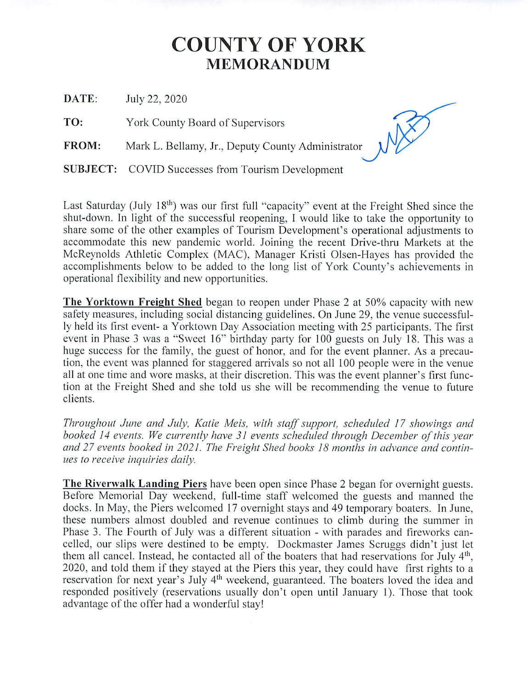## **COUNTY OF YORK MEMORANDUM**

DATE: July 22, 2020

TO: York County Board of Supervisors

FROM: Mark L. Bellamy, Jr., Deputy County Administrator

**SUBJECT:** COVID Successes from Tourism Development

Last Saturday (July 18<sup>th</sup>) was our first full "capacity" event at the Freight Shed since the shut-down. In light of the successful reopening, I would like to take the opportunity to share some of the other examples of Tourism Development's operational adjustments to accommodate this new pandemic world. Joining the recent Drive-thru Markets at the McReynolds Athletic Complex (MAC), Manager Kristi Olsen-Hayes has provided the accomplishments below to be added to the long list of York County's achievements in operational flexibility and new opportunities.

The Yorktown Freight Shed began to reopen under Phase 2 at 50% capacity with new safety measures, including social distancing guidelines. On June 29, the venue successfully held its first event- a Yorktown Day Association meeting with 25 participants. The first event in Phase 3 was a "Sweet 16" birthday party for 100 guests on July 18. This was a huge success for the family, the guest of honor, and for the event planner. As a precaution, the event was planned for staggered arrivals so not all 100 people were in the venue all at one time and wore masks, at their discretion. This was the event planner's first function at the Freight Shed and she told us she will be recommending the venue to future clients.

Throughout June and July, Katie Meis, with staff support, scheduled 17 showings and booked 14 events. We currently have 31 events scheduled through December of this year and 27 events booked in 2021. The Freight Shed books 18 months in advance and continues to receive inquiries daily.

The Riverwalk Landing Piers have been open since Phase 2 began for overnight guests. Before Memorial Day weekend, full-time staff welcomed the guests and manned the docks. In May, the Piers welcomed 17 overnight stays and 49 temporary boaters. In June, these numbers almost doubled and revenue continues to climb during the summer in Phase 3. The Fourth of July was a different situation - with parades and fireworks cancelled, our slips were destined to be empty. Dockmaster James Scruggs didn't just let them all cancel. Instead, he contacted all of the boaters that had reservations for July 4<sup>th</sup>, 2020, and told them if they stayed at the Piers this year, they could have first rights to a reservation for next year's July 4<sup>th</sup> weekend, guaranteed. The boaters loved the idea and responded positively (reservations usually don't open until January 1). Those that took advantage of the offer had a wonderful stay!